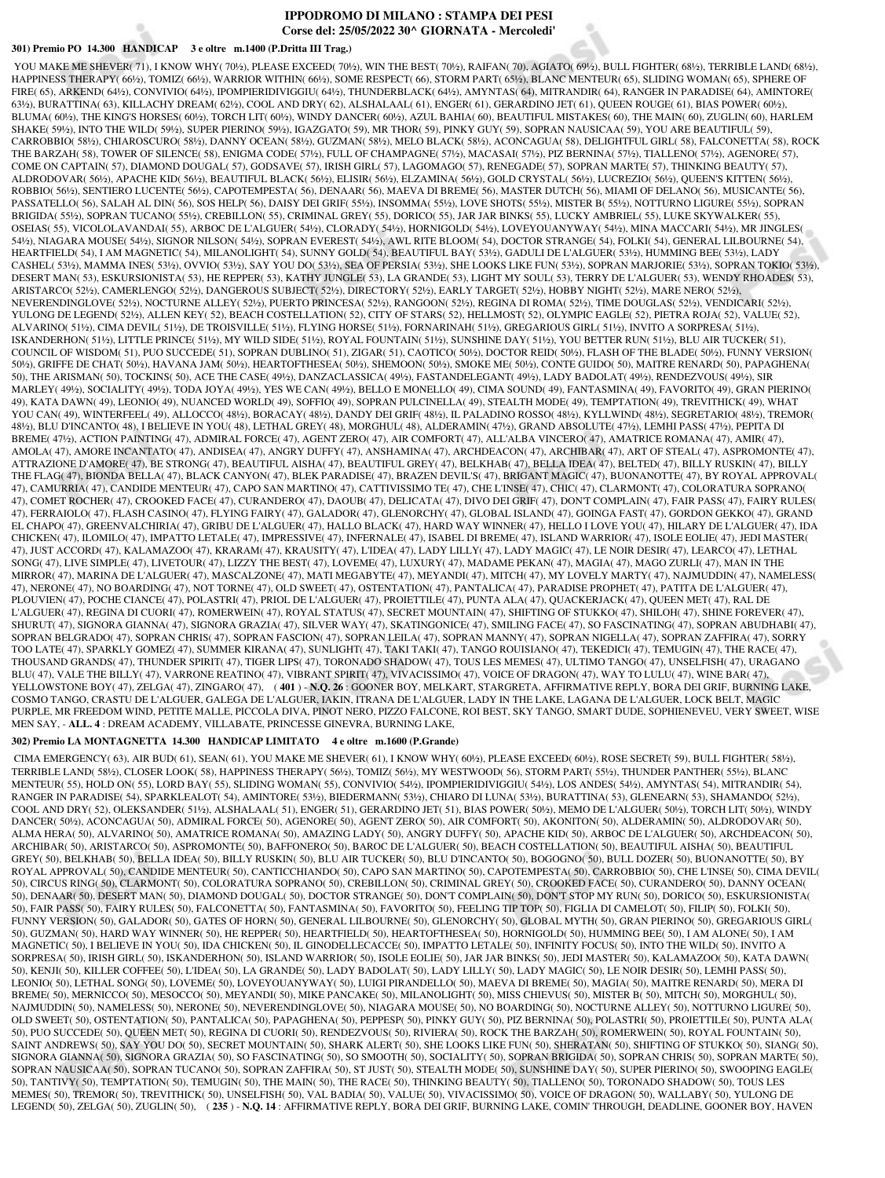## **IPPODROMO DI MILANO : STAMPA DEI PESI Corse del: 25/05/2022 30^ GIORNATA - Mercoledi'**

## **301) Premio PO 14.300 HANDICAP 3 e oltre m.1400 (P.Dritta III Trag.)**

YOU MAKE ME SHEVER(71), I KNOW WHY(701/2), PLEASE EXCEED(701/2), WIN THE BEST(701/2), RAIFAN(70), AGIATO(691/2), BULL FIGHTER(681/2), TERRIBLE LAND(681/2), HAPPINESS THERAPY( 66½), TOMIZ( 66½), WARRIOR WITHIN( 66½), SOME RESPECT( 66), STORM PART( 65½), BLANC MENTEUR( 65), SLIDING WOMAN( 65), SPHERE OF FIRE( 65), ARKEND( 64½), CONVIVIO( 64½), IPOMPIERIDIVIGGIU( 64½), THUNDERBLACK( 64½), AMYNTAS( 64), MITRANDIR( 64), RANGER IN PARADISE( 64), AMINTORE( 63½), BURATTINA( 63), KILLACHY DREAM( 62½), COOL AND DRY( 62), ALSHALAAL( 61), ENGER( 61), GERARDINO JET( 61), QUEEN ROUGE( 61), BIAS POWER( 60½), BLUMA( 60½), THE KING'S HORSES( 60½), TORCH LIT( 60½), WINDY DANCER( 60½), AZUL BAHIA( 60), BEAUTIFUL MISTAKES( 60), THE MAIN( 60), ZUGLIN( 60), HARLEM SHAKE( 59½), INTO THE WILD( 59½), SUPER PIERINO( 59½), IGAZGATO( 59), MR THOR( 59), PINKY GUY( 59), SOPRAN NAUSICAA( 59), YOU ARE BEAUTIFUL( 59), CARROBBIO( 58½), CHIAROSCURO( 58½), DANNY OCEAN( 58½), GUZMAN( 58½), MELO BLACK( 58½), ACONCAGUA( 58), DELIGHTFUL GIRL( 58), FALCONETTA( 58), ROCK THE BARZAH( 58), TOWER OF SILENCE( 58), ENIGMA CODE( 57½), FULL OF CHAMPAGNE( 57½), MACASAI( 57½), PIZ BERNINA( 57½), TIALLENO( 57½), AGENORE( 57), COME ON CAPTAIN( 57), DIAMOND DOUGAL( 57), GODSAVE( 57), IRISH GIRL( 57), LAGOMAGO( 57), RENEGADE( 57), SOPRAN MARTE( 57), THINKING BEAUTY( 57), ALDRODOVAR( 56½), APACHE KID( 56½), BEAUTIFUL BLACK( 56½), ELISIR( 56½), ELZAMINA( 56½), GOLD CRYSTAL( 56½), LUCREZIO( 56½), QUEEN'S KITTEN( 56½), ROBBIO( 56½), SENTIERO LUCENTE( 56½), CAPOTEMPESTA( 56), DENAAR( 56), MAEVA DI BREME( 56), MASTER DUTCH( 56), MIAMI OF DELANO( 56), MUSICANTE( 56), PASSATELLO( 56), SALAH AL DIN( 56), SOS HELP( 56), DAISY DEI GRIF( 55½), INSOMMA( 55½), LOVE SHOTS( 55½), MISTER B( 55½), NOTTURNO LIGURE( 55½), SOPRAN BRIGIDA( 55½), SOPRAN TUCANO( 55½), CREBILLON( 55), CRIMINAL GREY( 55), DORICO( 55), JAR JAR BINKS( 55), LUCKY AMBRIEL( 55), LUKE SKYWALKER( 55), OSEIAS( 55), VICOLOLAVANDAI( 55), ARBOC DE L'ALGUER( 54½), CLORADY( 54½), HORNIGOLD( 54½), LOVEYOUANYWAY( 54½), MINA MACCARI( 54½), MR JINGLES( 54½), NIAGARA MOUSE( 54½), SIGNOR NILSON( 54½), SOPRAN EVEREST( 54½), AWL RITE BLOOM( 54), DOCTOR STRANGE( 54), FOLKI( 54), GENERAL LILBOURNE( 54), HEARTFIELD( 54), I AM MAGNETIC( 54), MILANOLIGHT( 54), SUNNY GOLD( 54), BEAUTIFUL BAY( 53½), GADULI DE L'ALGUER( 53½), HUMMING BEE( 53½), LADY CASHEL( 53½), MAMMA INES( 53½), OVVIO( 53½), SAY YOU DO( 53½), SEA OF PERSIA( 53½), SHE LOOKS LIKE FUN( 53½), SOPRAN MARJORIE( 53½), SOPRAN TOKIO( 53½), DESERT MAN( 53), ESKURSIONISTA( 53), HE REPPER( 53), KATHY JUNGLE( 53), LA GRANDE( 53), LIGHT MY SOUL( 53), TERRY DE L'ALGUER( 53), WENDY RHOADES( 53), ARISTARCO( 52½), CAMERLENGO( 52½), DANGEROUS SUBJECT( 52½), DIRECTORY( 52½), EARLY TARGET( 52½), HOBBY NIGHT( 52½), MARE NERO( 52½), NEVERENDINGLOVE( 52½), NOCTURNE ALLEY( 52½), PUERTO PRINCESA( 52½), RANGOON( 52½), REGINA DI ROMA( 52½), TIME DOUGLAS( 52½), VENDICARI( 52½), YULONG DE LEGEND( 52½), ALLEN KEY( 52), BEACH COSTELLATION( 52), CITY OF STARS( 52), HELLMOST( 52), OLYMPIC EAGLE( 52), PIETRA ROJA( 52), VALUE( 52), ALVARINO( 51½), CIMA DEVIL( 51½), DE TROISVILLE( 51½), FLYING HORSE( 51½), FORNARINAH( 51½), GREGARIOUS GIRL( 51½), INVITO A SORPRESA( 51½), ISKANDERHON( 51½), LITTLE PRINCE( 51½), MY WILD SIDE( 51½), ROYAL FOUNTAIN( 51½), SUNSHINE DAY( 51½), YOU BETTER RUN( 51½), BLU AIR TUCKER( 51), COUNCIL OF WISDOM( 51), PUO SUCCEDE( 51), SOPRAN DUBLINO( 51), ZIGAR( 51), CAOTICO( 50½), DOCTOR REID( 50½), FLASH OF THE BLADE( 50½), FUNNY VERSION( 50½), GRIFFE DE CHAT( 50½), HAVANA JAM( 50½), HEARTOFTHESEA( 50½), SHEMOON( 50½), SMOKE ME( 50½), CONTE GUIDO( 50), MAITRE RENARD( 50), PAPAGHENA( 50), THE ARISMAN( 50), TOCKINS( 50), ACE THE CASE( 49½), DANZACLASSICA( 49½), FASTANDELEGANT( 49½), LADY BADOLAT( 49½), RENDEZVOUS( 49½), SIR MARLEY( 49½), SOCIALITY( 49½), TODA JOYA( 49½), YES WE CAN( 49½), BELLO E MONELLO( 49), CIMA SOUND( 49), FANTASMINA( 49), FAVORITO( 49), GRAN PIERINO( 49), KATA DAWN( 49), LEONIO( 49), NUANCED WORLD( 49), SOFFIO( 49), SOPRAN PULCINELLA( 49), STEALTH MODE( 49), TEMPTATION( 49), TREVITHICK( 49), WHAT YOU CAN( 49), WINTERFEEL( 49), ALLOCCO( 48½), BORACAY( 48½), DANDY DEI GRIF( 48½), IL PALADINO ROSSO( 48½), KYLLWIND( 48½), SEGRETARIO( 48½), TREMOR( 48½), BLU D'INCANTO( 48), I BELIEVE IN YOU( 48), LETHAL GREY( 48), MORGHUL( 48), ALDERAMIN( 47½), GRAND ABSOLUTE( 47½), LEMHI PASS( 47½), PEPITA DI BREME( 47½), ACTION PAINTING( 47), ADMIRAL FORCE( 47), AGENT ZERO( 47), AIR COMFORT( 47), ALL'ALBA VINCERO( 47), AMATRICE ROMANA( 47), AMIR( 47), AMOLA( 47), AMORE INCANTATO( 47), ANDISEA( 47), ANGRY DUFFY( 47), ANSHAMINA( 47), ARCHDEACON( 47), ARCHIBAR( 47), ART OF STEAL( 47), ASPROMONTE( 47), ATTRAZIONE D'AMORE( 47), BE STRONG( 47), BEAUTIFUL AISHA( 47), BEAUTIFUL GREY( 47), BELKHAB( 47), BELLA IDEA( 47), BELTED( 47), BILLY RUSKIN( 47), BILLY THE FLAG( 47), BIONDA BELLA( 47), BLACK CANYON( 47), BLEK PARADISE( 47), BRAZEN DEVIL'S( 47), BRIGANT MAGIC( 47), BUONANOTTE( 47), BY ROYAL APPROVAL( 47), CAMURRIA( 47), CANDIDE MENTEUR( 47), CAPO SAN MARTINO( 47), CATTIVISSIMO TE( 47), CHE L'INSE( 47), CHIC( 47), CLARMONT( 47), COLORATURA SOPRANO( 47), COMET ROCHER( 47), CROOKED FACE( 47), CURANDERO( 47), DAOUB( 47), DELICATA( 47), DIVO DEI GRIF( 47), DON'T COMPLAIN( 47), FAIR PASS( 47), FAIRY RULES( 47), FERRAIOLO( 47), FLASH CASINO( 47), FLYING FAIRY( 47), GALADOR( 47), GLENORCHY( 47), GLOBAL ISLAND( 47), GOINGA FAST( 47), GORDON GEKKO( 47), GRAND EL CHAPO( 47), GREENVALCHIRIA( 47), GRIBU DE L'ALGUER( 47), HALLO BLACK( 47), HARD WAY WINNER( 47), HELLO I LOVE YOU( 47), HILARY DE L'ALGUER( 47), IDA CHICKEN( 47), ILOMILO( 47), IMPATTO LETALE( 47), IMPRESSIVE( 47), INFERNALE( 47), ISABEL DI BREME( 47), ISLAND WARRIOR( 47), ISOLE EOLIE( 47), JEDI MASTER( 47), JUST ACCORD( 47), KALAMAZOO( 47), KRARAM( 47), KRAUSITY( 47), L'IDEA( 47), LADY LILLY( 47), LADY MAGIC( 47), LE NOIR DESIR( 47), LEARCO( 47), LETHAL SONG( 47), LIVE SIMPLE( 47), LIVETOUR( 47), LIZZY THE BEST( 47), LOVEME( 47), LUXURY( 47), MADAME PEKAN( 47), MAGIA( 47), MAGO ZURLI( 47), MAN IN THE MIRROR( 47), MARINA DE L'ALGUER( 47), MASCALZONE( 47), MATI MEGABYTE( 47), MEYANDI( 47), MITCH( 47), MY LOVELY MARTY( 47), NAJMUDDIN( 47), NAMELESS( 47), NERONE( 47), NO BOARDING( 47), NOT TORNE( 47), OLD SWEET( 47), OSTENTATION( 47), PANTALICA( 47), PARADISE PROPHET( 47), PATITA DE L'ALGUER( 47), PLOUVIEN( 47), POCHE CIANCE( 47), POLASTRI( 47), PRIOL DE L'ALGUER( 47), PROIETTILE( 47), PUNTA ALA( 47), QUACKERJACK( 47), QUEEN MET( 47), RAL DE L'ALGUER( 47), REGINA DI CUORI( 47), ROMERWEIN( 47), ROYAL STATUS( 47), SECRET MOUNTAIN( 47), SHIFTING OF STUKKO( 47), SHILOH( 47), SHINE FOREVER( 47), SHURUT( 47), SIGNORA GIANNA( 47), SIGNORA GRAZIA( 47), SILVER WAY( 47), SKATINGONICE( 47), SMILING FACE( 47), SO FASCINATING( 47), SOPRAN ABUDHABI( 47), SOPRAN BELGRADO( 47), SOPRAN CHRIS( 47), SOPRAN FASCION( 47), SOPRAN LEILA( 47), SOPRAN MANNY( 47), SOPRAN NIGELLA( 47), SOPRAN ZAFFIRA( 47), SORRY TOO LATE( 47), SPARKLY GOMEZ( 47), SUMMER KIRANA( 47), SUNLIGHT( 47), TAKI TAKI( 47), TANGO ROUISIANO( 47), TEKEDICI( 47), TEMUGIN( 47), THE RACE( 47), THOUSAND GRANDS( 47), THUNDER SPIRIT( 47), TIGER LIPS( 47), TORONADO SHADOW( 47), TOUS LES MEMES( 47), ULTIMO TANGO( 47), UNSELFISH( 47), URAGANO BLU( 47), VALE THE BILLY( 47), VARRONE REATINO( 47), VIBRANT SPIRIT( 47), VIVACISSIMO( 47), VOICE OF DRAGON( 47), WAY TO LULU( 47), WINE BAR( 47), YELLOWSTONE BOY( 47), ZELGA( 47), ZINGARO( 47), ( **401** ) - **N.Q. 26** : GOONER BOY, MELKART, STARGRETA, AFFIRMATIVE REPLY, BORA DEI GRIF, BURNING LAKE, COSMO TANGO, CRASTU DE L'ALGUER, GALEGA DE L'ALGUER, IAKIN, ITRANA DE L'ALGUER, LADY IN THE LAKE, LAGANA DE L'ALGUER, LOCK BELT, MAGIC PURPLE, MR FREEDOM WIND, PETITE MALLE, PICCOLA DIVA, PINOT NERO, PIZZO FALCONE, ROI BEST, SKY TANGO, SMART DUDE, SOPHIENEVEU, VERY SWEET, WISE MEN SAY, - **ALL. 4** : DREAM ACADEMY, VILLABATE, PRINCESSE GINEVRA, BURNING LAKE,

### **302) Premio LA MONTAGNETTA 14.300 HANDICAP LIMITATO 4 e oltre m.1600 (P.Grande)**

 CIMA EMERGENCY( 63), AIR BUD( 61), SEAN( 61), YOU MAKE ME SHEVER( 61), I KNOW WHY( 60½), PLEASE EXCEED( 60½), ROSE SECRET( 59), BULL FIGHTER( 58½), TERRIBLE LAND( 58½), CLOSER LOOK( 58), HAPPINESS THERAPY( 56½), TOMIZ( 56½), MY WESTWOOD( 56), STORM PART( 55½), THUNDER PANTHER( 55½), BLANC MENTEUR( 55), HOLD ON( 55), LORD BAY( 55), SLIDING WOMAN( 55), CONVIVIO( 54½), IPOMPIERIDIVIGGIU( 54½), LOS ANDES( 54½), AMYNTAS( 54), MITRANDIR( 54), RANGER IN PARADISE( 54), SPARKLEALOT( 54), AMINTORE( 53½), BIEDERMANN( 53½), CHIARO DI LUNA( 53½), BURATTINA( 53), GLENEARN( 53), SHAMANDO( 52½), COOL AND DRY( 52), OLEKSANDER( 51½), ALSHALAAL( 51), ENGER( 51), GERARDINO JET( 51), BIAS POWER( 50½), MEMO DE L'ALGUER( 50½), TORCH LIT( 50½), WINDY DANCER( 50½), ACONCAGUA( 50), ADMIRAL FORCE( 50), AGENORE( 50), AGENT ZERO( 50), AIR COMFORT( 50), AKONITON( 50), ALDERAMIN( 50), ALDRODOVAR( 50), ALMA HERA( 50), ALVARINO( 50), AMATRICE ROMANA( 50), AMAZING LADY( 50), ANGRY DUFFY( 50), APACHE KID( 50), ARBOC DE L'ALGUER( 50), ARCHDEACON( 50), ARCHIBAR( 50), ARISTARCO( 50), ASPROMONTE( 50), BAFFONERO( 50), BAROC DE L'ALGUER( 50), BEACH COSTELLATION( 50), BEAUTIFUL AISHA( 50), BEAUTIFUL GREY( 50), BELKHAB( 50), BELLA IDEA( 50), BILLY RUSKIN( 50), BLU AIR TUCKER( 50), BLU D'INCANTO( 50), BOGOGNO( 50), BULL DOZER( 50), BUONANOTTE( 50), BY ROYAL APPROVAL( 50), CANDIDE MENTEUR( 50), CANTICCHIANDO( 50), CAPO SAN MARTINO( 50), CAPOTEMPESTA( 50), CARROBBIO( 50), CHE L'INSE( 50), CIMA DEVIL( 50), CIRCUS RING( 50), CLARMONT( 50), COLORATURA SOPRANO( 50), CREBILLON( 50), CRIMINAL GREY( 50), CROOKED FACE( 50), CURANDERO( 50), DANNY OCEAN( 50), DENAAR( 50), DESERT MAN( 50), DIAMOND DOUGAL( 50), DOCTOR STRANGE( 50), DON'T COMPLAIN( 50), DON'T STOP MY RUN( 50), DORICO( 50), ESKURSIONISTA( 50), FAIR PASS( 50), FAIRY RULES( 50), FALCONETTA( 50), FANTASMINA( 50), FAVORITO( 50), FEELING TIP TOP( 50), FIGLIA DI CAMELOT( 50), FILIP( 50), FOLKI( 50), FUNNY VERSION( 50), GALADOR( 50), GATES OF HORN( 50), GENERAL LILBOURNE( 50), GLENORCHY( 50), GLOBAL MYTH( 50), GRAN PIERINO( 50), GREGARIOUS GIRL( 50), GUZMAN( 50), HARD WAY WINNER( 50), HE REPPER( 50), HEARTFIELD( 50), HEARTOFTHESEA( 50), HORNIGOLD( 50), HUMMING BEE( 50), I AM ALONE( 50), I AM MAGNETIC( 50), I BELIEVE IN YOU( 50), IDA CHICKEN( 50), IL GINODELLECACCE( 50), IMPATTO LETALE( 50), INFINITY FOCUS( 50), INTO THE WILD( 50), INVITO A SORPRESA( 50), IRISH GIRL( 50), ISKANDERHON( 50), ISLAND WARRIOR( 50), ISOLE EOLIE( 50), JAR JAR BINKS( 50), JEDI MASTER( 50), KALAMAZOO( 50), KATA DAWN( 50), KENJI( 50), KILLER COFFEE( 50), L'IDEA( 50), LA GRANDE( 50), LADY BADOLAT( 50), LADY LILLY( 50), LADY MAGIC( 50), LE NOIR DESIR( 50), LEMHI PASS( 50), LEONIO( 50), LETHAL SONG( 50), LOVEME( 50), LOVEYOUANYWAY( 50), LUIGI PIRANDELLO( 50), MAEVA DI BREME( 50), MAGIA( 50), MAITRE RENARD( 50), MERA DI BREME( 50), MERNICCO( 50), MESOCCO( 50), MEYANDI( 50), MIKE PANCAKE( 50), MILANOLIGHT( 50), MISS CHIEVUS( 50), MISTER B( 50), MITCH( 50), MORGHUL( 50), NAJMUDDIN( 50), NAMELESS( 50), NERONE( 50), NEVERENDINGLOVE( 50), NIAGARA MOUSE( 50), NO BOARDING( 50), NOCTURNE ALLEY( 50), NOTTURNO LIGURE( 50), OLD SWEET( 50), OSTENTATION( 50), PANTALICA( 50), PAPAGHENA( 50), PEPPESP( 50), PINKY GUY( 50), PIZ BERNINA( 50), POLASTRI( 50), PROIETTILE( 50), PUNTA ALA( 50), PUO SUCCEDE( 50), QUEEN MET( 50), REGINA DI CUORI( 50), RENDEZVOUS( 50), RIVIERA( 50), ROCK THE BARZAH( 50), ROMERWEIN( 50), ROYAL FOUNTAIN( 50), SAINT ANDREWS( 50), SAY YOU DO( 50), SECRET MOUNTAIN( 50), SHARK ALERT( 50), SHE LOOKS LIKE FUN( 50), SHERATAN( 50), SHIFTING OF STUKKO( 50), SIANG( 50), SIGNORA GIANNA( 50), SIGNORA GRAZIA( 50), SO FASCINATING( 50), SO SMOOTH( 50), SOCIALITY( 50), SOPRAN BRIGIDA( 50), SOPRAN CHRIS( 50), SOPRAN MARTE( 50), SOPRAN NAUSICAA( 50), SOPRAN TUCANO( 50), SOPRAN ZAFFIRA( 50), ST JUST( 50), STEALTH MODE( 50), SUNSHINE DAY( 50), SUPER PIERINO( 50), SWOOPING EAGLE( 50), TANTIVY( 50), TEMPTATION( 50), TEMUGIN( 50), THE MAIN( 50), THE RACE( 50), THINKING BEAUTY( 50), TIALLENO( 50), TORONADO SHADOW( 50), TOUS LES MEMES( 50), TREMOR( 50), TREVITHICK( 50), UNSELFISH( 50), VAL BADIA( 50), VALUE( 50), VIVACISSIMO( 50), VOICE OF DRAGON( 50), WALLABY( 50), YULONG DE LEGEND( 50), ZELGA( 50), ZUGLIN( 50), ( **235** ) - **N.Q. 14** : AFFIRMATIVE REPLY, BORA DEI GRIF, BURNING LAKE, COMIN' THROUGH, DEADLINE, GOONER BOY, HAVEN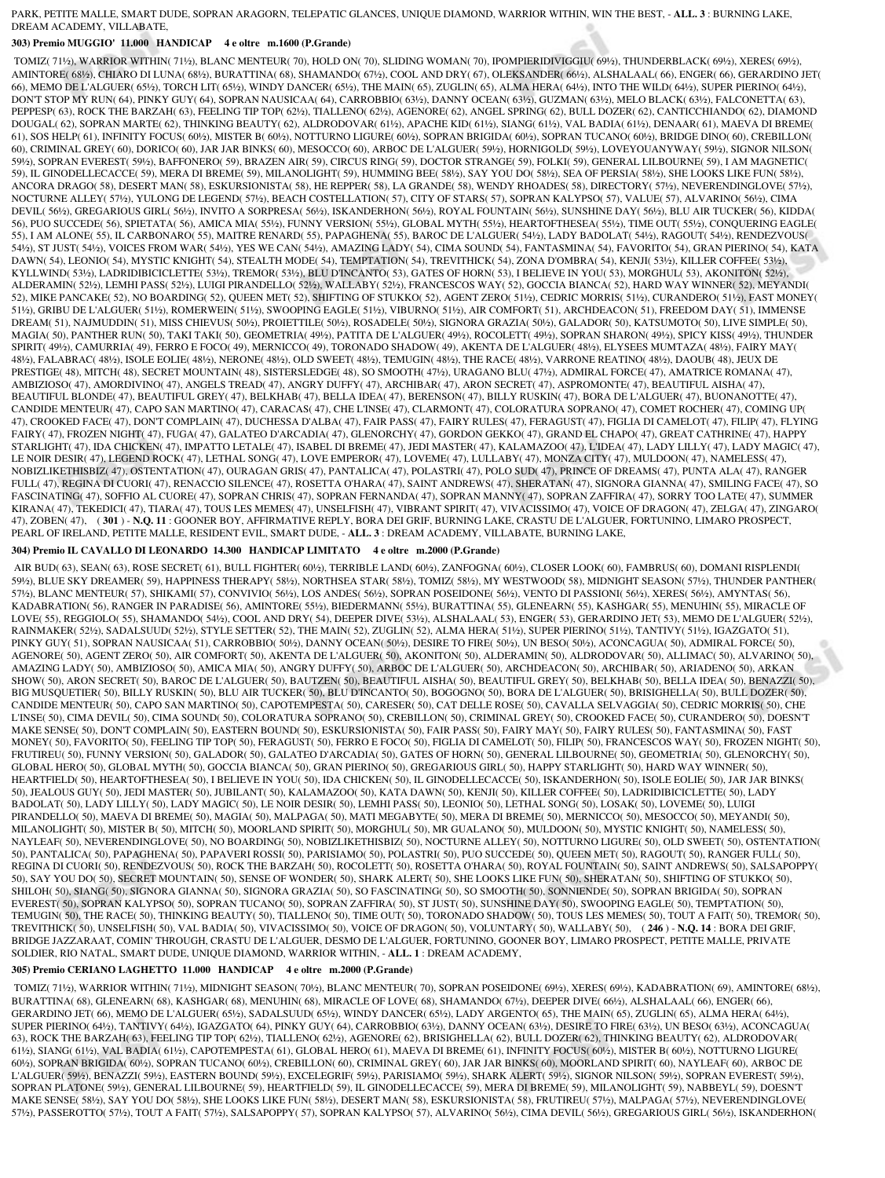#### PARK, PETITE MALLE, SMART DUDE, SOPRAN ARAGORN, TELEPATIC GLANCES, UNIQUE DIAMOND, WARRIOR WITHIN, WIN THE BEST, - **ALL. 3** : BURNING LAKE, DREAM ACADEMY, VILLABATE,

## **303) Premio MUGGIO' 11.000 HANDICAP 4 e oltre m.1600 (P.Grande)**

 TOMIZ( 71½), WARRIOR WITHIN( 71½), BLANC MENTEUR( 70), HOLD ON( 70), SLIDING WOMAN( 70), IPOMPIERIDIVIGGIU( 69½), THUNDERBLACK( 69½), XERES( 69½), AMINTORE( 68½), CHIARO DI LUNA( 68½), BURATTINA( 68), SHAMANDO( 67½), COOL AND DRY( 67), OLEKSANDER( 66½), ALSHALAAL( 66), ENGER( 66), GERARDINO JET( 66), MEMO DE L'ALGUER( 65½), TORCH LIT( 65½), WINDY DANCER( 65½), THE MAIN( 65), ZUGLIN( 65), ALMA HERA( 64½), INTO THE WILD( 64½), SUPER PIERINO( 64½), DON'T STOP MY RUN( 64), PINKY GUY( 64), SOPRAN NAUSICAA( 64), CARROBBIO( 63½), DANNY OCEAN( 63½), GUZMAN( 63½), MELO BLACK( 63½), FALCONETTA( 63), PEPPESP( 63), ROCK THE BARZAH( 63), FEELING TIP TOP( 62½), TIALLENO( 62½), AGENORE( 62), ANGEL SPRING( 62), BULL DOZER( 62), CANTICCHIANDO( 62), DIAMOND DOUGAL( 62), SOPRAN MARTE( 62), THINKING BEAUTY( 62), ALDRODOVAR( 61½), APACHE KID( 61½), SIANG( 61½), VAL BADIA( 61½), DENAAR( 61), MAEVA DI BREME( 61), SOS HELP( 61), INFINITY FOCUS( 60½), MISTER B( 60½), NOTTURNO LIGURE( 60½), SOPRAN BRIGIDA( 60½), SOPRAN TUCANO( 60½), BRIDGE DINO( 60), CREBILLON( 60), CRIMINAL GREY( 60), DORICO( 60), JAR JAR BINKS( 60), MESOCCO( 60), ARBOC DE L'ALGUER( 59½), HORNIGOLD( 59½), LOVEYOUANYWAY( 59½), SIGNOR NILSON( 59½), SOPRAN EVEREST( 59½), BAFFONERO( 59), BRAZEN AIR( 59), CIRCUS RING( 59), DOCTOR STRANGE( 59), FOLKI( 59), GENERAL LILBOURNE( 59), I AM MAGNETIC( 59), IL GINODELLECACCE( 59), MERA DI BREME( 59), MILANOLIGHT( 59), HUMMING BEE( 58½), SAY YOU DO( 58½), SEA OF PERSIA( 58½), SHE LOOKS LIKE FUN( 58½), ANCORA DRAGO( 58), DESERT MAN( 58), ESKURSIONISTA( 58), HE REPPER( 58), LA GRANDE( 58), WENDY RHOADES( 58), DIRECTORY( 57½), NEVERENDINGLOVE( 57½), NOCTURNE ALLEY( 57½), YULONG DE LEGEND( 57½), BEACH COSTELLATION( 57), CITY OF STARS( 57), SOPRAN KALYPSO( 57), VALUE( 57), ALVARINO( 56½), CIMA DEVIL( 56½), GREGARIOUS GIRL( 56½), INVITO A SORPRESA( 56½), ISKANDERHON( 56½), ROYAL FOUNTAIN( 56½), SUNSHINE DAY( 56½), BLU AIR TUCKER( 56), KIDDA( 56), PUO SUCCEDE( 56), SPIETATA( 56), AMICA MIA( 55½), FUNNY VERSION( 55½), GLOBAL MYTH( 55½), HEARTOFTHESEA( 55½), TIME OUT( 55½), CONQUERING EAGLE( 55), I AM ALONE( 55), IL CARBONARO( 55), MAITRE RENARD( 55), PAPAGHENA( 55), BAROC DE L'ALGUER( 54½), LADY BADOLAT( 54½), RAGOUT( 54½), RENDEZVOUS( 54½), ST JUST( 54½), VOICES FROM WAR( 54½), YES WE CAN( 54½), AMAZING LADY( 54), CIMA SOUND( 54), FANTASMINA( 54), FAVORITO( 54), GRAN PIERINO( 54), KATA DAWN( 54), LEONIO( 54), MYSTIC KNIGHT( 54), STEALTH MODE( 54), TEMPTATION( 54), TREVITHICK( 54), ZONA D'OMBRA( 54), KENJI( 53½), KILLER COFFEE( 53½), KYLLWIND( 53½), LADRIDIBICICLETTE( 53½), TREMOR( 53½), BLU D'INCANTO( 53), GATES OF HORN( 53), I BELIEVE IN YOU( 53), MORGHUL( 53), AKONITON( 52½), ALDERAMIN( 52½), LEMHI PASS( 52½), LUIGI PIRANDELLO( 52½), WALLABY( 52½), FRANCESCOS WAY( 52), GOCCIA BIANCA( 52), HARD WAY WINNER( 52), MEYANDI( 52), MIKE PANCAKE( 52), NO BOARDING( 52), QUEEN MET( 52), SHIFTING OF STUKKO( 52), AGENT ZERO( 51½), CEDRIC MORRIS( 51½), CURANDERO( 51½), FAST MONEY( 51½), GRIBU DE L'ALGUER( 51½), ROMERWEIN( 51½), SWOOPING EAGLE( 51½), VIBURNO( 51½), AIR COMFORT( 51), ARCHDEACON( 51), FREEDOM DAY( 51), IMMENSE DREAM( 51), NAJMUDDIN( 51), MISS CHIEVUS( 50½), PROIETTILE( 50½), ROSADELE( 50½), SIGNORA GRAZIA( 50½), GALADOR( 50), KATSUMOTO( 50), LIVE SIMPLE( 50), MAGIA( 50), PANTHER RUN( 50), TAKI TAKI( 50), GEOMETRIA( 49½), PATITA DE L'ALGUER( 49½), ROCOLETT( 49½), SOPRAN SHARON( 49½), SPICY KISS( 49½), THUNDER SPIRIT( 49½), CAMURRIA( 49), FERRO E FOCO( 49), MERNICCO( 49), TORONADO SHADOW( 49), AKENTA DE L'ALGUER( 48½), ELYSEES MUMTAZA( 48½), FAIRY MAY( 48½), FALABRAC( 48½), ISOLE EOLIE( 48½), NERONE( 48½), OLD SWEET( 48½), TEMUGIN( 48½), THE RACE( 48½), VARRONE REATINO( 48½), DAOUB( 48), JEUX DE PRESTIGE( 48), MITCH( 48), SECRET MOUNTAIN( 48), SISTERSLEDGE( 48), SO SMOOTH( 47½), URAGANO BLU( 47½), ADMIRAL FORCE( 47), AMATRICE ROMANA( 47), AMBIZIOSO( 47), AMORDIVINO( 47), ANGELS TREAD( 47), ANGRY DUFFY( 47), ARCHIBAR( 47), ARON SECRET( 47), ASPROMONTE( 47), BEAUTIFUL AISHA( 47), BEAUTIFUL BLONDE(47), BEAUTIFUL GREY(47), BELKHAB(47), BELLA IDEA(47), BERENSON(47), BILLY RUSKIN(47), BORA DE L'ALGUER(47), BUONANOTTE(47), CANDIDE MENTEUR( 47), CAPO SAN MARTINO( 47), CARACAS( 47), CHE L'INSE( 47), CLARMONT( 47), COLORATURA SOPRANO( 47), COMET ROCHER( 47), COMING UP( 47), CROOKED FACE( 47), DON'T COMPLAIN( 47), DUCHESSA D'ALBA( 47), FAIR PASS( 47), FAIRY RULES( 47), FERAGUST( 47), FIGLIA DI CAMELOT( 47), FILIP( 47), FLYING FAIRY( 47), FROZEN NIGHT( 47), FUGA( 47), GALATEO D'ARCADIA( 47), GLENORCHY( 47), GORDON GEKKO( 47), GRAND EL CHAPO( 47), GREAT CATHRINE( 47), HAPPY STARLIGHT( 47), IDA CHICKEN( 47), IMPATTO LETALE( 47), ISABEL DI BREME( 47), JEDI MASTER( 47), KALAMAZOO( 47), L'IDEA( 47), LADY LILLY( 47), LADY MAGIC( 47), LE NOIR DESIR( 47), LEGEND ROCK( 47), LETHAL SONG( 47), LOVE EMPEROR( 47), LOVEME( 47), LULLABY( 47), MONZA CITY( 47), MULDOON( 47), NAMELESS( 47), NOBIZLIKETHISBIZ( 47), OSTENTATION( 47), OURAGAN GRIS( 47), PANTALICA( 47), POLASTRI( 47), POLO SUD( 47), PRINCE OF DREAMS( 47), PUNTA ALA( 47), RANGER FULL( 47), REGINA DI CUORI( 47), RENACCIO SILENCE( 47), ROSETTA O'HARA( 47), SAINT ANDREWS( 47), SHERATAN( 47), SIGNORA GIANNA( 47), SMILING FACE( 47), SO FASCINATING( 47), SOFFIO AL CUORE( 47), SOPRAN CHRIS( 47), SOPRAN FERNANDA( 47), SOPRAN MANNY( 47), SOPRAN ZAFFIRA( 47), SORRY TOO LATE( 47), SUMMER KIRANA( 47), TEKEDICI( 47), TIARA( 47), TOUS LES MEMES( 47), UNSELFISH( 47), VIBRANT SPIRIT( 47), VIVACISSIMO( 47), VOICE OF DRAGON( 47), ZELGA( 47), ZINGARO( 47), ZOBEN( 47), ( **301** ) - **N.Q. 11** : GOONER BOY, AFFIRMATIVE REPLY, BORA DEI GRIF, BURNING LAKE, CRASTU DE L'ALGUER, FORTUNINO, LIMARO PROSPECT, PEARL OF IRELAND, PETITE MALLE, RESIDENT EVIL, SMART DUDE, - **ALL. 3** : DREAM ACADEMY, VILLABATE, BURNING LAKE,

## **304) Premio IL CAVALLO DI LEONARDO 14.300 HANDICAP LIMITATO 4 e oltre m.2000 (P.Grande)**

 AIR BUD( 63), SEAN( 63), ROSE SECRET( 61), BULL FIGHTER( 60½), TERRIBLE LAND( 60½), ZANFOGNA( 60½), CLOSER LOOK( 60), FAMBRUS( 60), DOMANI RISPLENDI( 59½), BLUE SKY DREAMER( 59), HAPPINESS THERAPY( 58½), NORTHSEA STAR( 58½), TOMIZ( 58½), MY WESTWOOD( 58), MIDNIGHT SEASON( 57½), THUNDER PANTHER( 57½), BLANC MENTEUR( 57), SHIKAMI( 57), CONVIVIO( 56½), LOS ANDES( 56½), SOPRAN POSEIDONE( 56½), VENTO DI PASSIONI( 56½), XERES( 56½), AMYNTAS( 56), KADABRATION( 56), RANGER IN PARADISE( 56), AMINTORE( 55½), BIEDERMANN( 55½), BURATTINA( 55), GLENEARN( 55), KASHGAR( 55), MENUHIN( 55), MIRACLE OF LOVE( 55), REGGIOLO( 55), SHAMANDO( 54½), COOL AND DRY( 54), DEEPER DIVE( 53½), ALSHALAAL( 53), ENGER( 53), GERARDINO JET( 53), MEMO DE L'ALGUER( 52½), RAINMAKER( 52½), SADALSUUD( 52½), STYLE SETTER( 52), THE MAIN( 52), ZUGLIN( 52), ALMA HERA( 51½), SUPER PIERINO( 51½), TANTIVY( 51½), IGAZGATO( 51), PINKY GUY( 51), SOPRAN NAUSICAA( 51), CARROBBIO( 50½), DANNY OCEAN( 50½), DESIRE TO FIRE( 50½), UN BESO( 50½), ACONCAGUA( 50), ADMIRAL FORCE( 50), AGENORE( 50), AGENT ZERO( 50), AIR COMFORT( 50), AKENTA DE L'ALGUER( 50), AKONITON( 50), ALDERAMIN( 50), ALDRODOVAR( 50), ALLIMAC( 50), ALVARINO( 50), AMAZING LADY( 50), AMBIZIOSO( 50), AMICA MIA( 50), ANGRY DUFFY( 50), ARBOC DE L'ALGUER( 50), ARCHDEACON( 50), ARCHIBAR( 50), ARIADENO( 50), ARKAN SHOW( 50), ARON SECRET( 50), BAROC DE L'ALGUER( 50), BAUTZEN( 50), BEAUTIFUL AISHA( 50), BEAUTIFUL GREY( 50), BELKHAB( 50), BELLA IDEA( 50), BENAZZI( 50), BIG MUSQUETIER( 50), BILLY RUSKIN( 50), BLU AIR TUCKER( 50), BLU D'INCANTO( 50), BOGOGNO( 50), BORA DE L'ALGUER( 50), BRISIGHELLA( 50), BULL DOZER( 50), CANDIDE MENTEUR( 50), CAPO SAN MARTINO( 50), CAPOTEMPESTA( 50), CARESER( 50), CAT DELLE ROSE( 50), CAVALLA SELVAGGIA( 50), CEDRIC MORRIS( 50), CHE L'INSE( 50), CIMA DEVIL( 50), CIMA SOUND( 50), COLORATURA SOPRANO( 50), CREBILLON( 50), CRIMINAL GREY( 50), CROOKED FACE( 50), CURANDERO( 50), DOESN'T MAKE SENSE( 50), DON'T COMPLAIN( 50), EASTERN BOUND( 50), ESKURSIONISTA( 50), FAIR PASS( 50), FAIRY MAY( 50), FAIRY RULES( 50), FANTASMINA( 50), FAST MONEY( 50), FAVORITO( 50), FEELING TIP TOP( 50), FERAGUST( 50), FERRO E FOCO( 50), FIGLIA DI CAMELOT( 50), FILIP( 50), FRANCESCOS WAY( 50), FROZEN NIGHT( 50), FRUTIREU( 50), FUNNY VERSION( 50), GALADOR( 50), GALATEO D'ARCADIA( 50), GATES OF HORN( 50), GENERAL LILBOURNE( 50), GEOMETRIA( 50), GLENORCHY( 50), GLOBAL HERO( 50), GLOBAL MYTH( 50), GOCCIA BIANCA( 50), GRAN PIERINO( 50), GREGARIOUS GIRL( 50), HAPPY STARLIGHT( 50), HARD WAY WINNER( 50), HEARTFIELD( 50), HEARTOFTHESEA( 50), I BELIEVE IN YOU( 50), IDA CHICKEN( 50), IL GINODELLECACCE( 50), ISKANDERHON( 50), ISOLE EOLIE( 50), JAR JAR BINKS( 50), JEALOUS GUY( 50), JEDI MASTER( 50), JUBILANT( 50), KALAMAZOO( 50), KATA DAWN( 50), KENJI( 50), KILLER COFFEE( 50), LADRIDIBICICLETTE( 50), LADY BADOLAT( 50), LADY LILLY( 50), LADY MAGIC( 50), LE NOIR DESIR( 50), LEMHI PASS( 50), LEONIO( 50), LETHAL SONG( 50), LOSAK( 50), LOVEME( 50), LUIGI PIRANDELLO( 50), MAEVA DI BREME( 50), MAGIA( 50), MALPAGA( 50), MATI MEGABYTE( 50), MERA DI BREME( 50), MERNICCO( 50), MESOCCO( 50), MEYANDI( 50), MILANOLIGHT( 50), MISTER B( 50), MITCH( 50), MOORLAND SPIRIT( 50), MORGHUL( 50), MR GUALANO( 50), MULDOON( 50), MYSTIC KNIGHT( 50), NAMELESS( 50), NAYLEAF( 50), NEVERENDINGLOVE( 50), NO BOARDING( 50), NOBIZLIKETHISBIZ( 50), NOCTURNE ALLEY( 50), NOTTURNO LIGURE( 50), OLD SWEET( 50), OSTENTATION( 50), PANTALICA( 50), PAPAGHENA( 50), PAPAVERI ROSSI( 50), PARISIAMO( 50), POLASTRI( 50), PUO SUCCEDE( 50), QUEEN MET( 50), RAGOUT( 50), RANGER FULL( 50), REGINA DI CUORI( 50), RENDEZVOUS( 50), ROCK THE BARZAH( 50), ROCOLETT( 50), ROSETTA O'HARA( 50), ROYAL FOUNTAIN( 50), SAINT ANDREWS( 50), SALSAPOPPY( 50), SAY YOU DO( 50), SECRET MOUNTAIN( 50), SENSE OF WONDER( 50), SHARK ALERT( 50), SHE LOOKS LIKE FUN( 50), SHERATAN( 50), SHIFTING OF STUKKO( 50), SHILOH( 50), SIANG( 50), SIGNORA GIANNA( 50), SIGNORA GRAZIA( 50), SO FASCINATING( 50), SO SMOOTH( 50), SONNIENDE( 50), SOPRAN BRIGIDA( 50), SOPRAN EVEREST( 50), SOPRAN KALYPSO( 50), SOPRAN TUCANO( 50), SOPRAN ZAFFIRA( 50), ST JUST( 50), SUNSHINE DAY( 50), SWOOPING EAGLE( 50), TEMPTATION( 50), TEMUGIN( 50), THE RACE( 50), THINKING BEAUTY( 50), TIALLENO( 50), TIME OUT( 50), TORONADO SHADOW( 50), TOUS LES MEMES( 50), TOUT A FAIT( 50), TREMOR( 50), TREVITHICK( 50), UNSELFISH( 50), VAL BADIA( 50), VIVACISSIMO( 50), VOICE OF DRAGON( 50), VOLUNTARY( 50), WALLABY( 50), ( **246** ) - **N.Q. 14** : BORA DEI GRIF, BRIDGE JAZZARAAT, COMIN' THROUGH, CRASTU DE L'ALGUER, DESMO DE L'ALGUER, FORTUNINO, GOONER BOY, LIMARO PROSPECT, PETITE MALLE, PRIVATE SOLDIER, RIO NATAL, SMART DUDE, UNIQUE DIAMOND, WARRIOR WITHIN, - **ALL. 1** : DREAM ACADEMY,

### **305) Premio CERIANO LAGHETTO 11.000 HANDICAP 4 e oltre m.2000 (P.Grande)**

 TOMIZ( 71½), WARRIOR WITHIN( 71½), MIDNIGHT SEASON( 70½), BLANC MENTEUR( 70), SOPRAN POSEIDONE( 69½), XERES( 69½), KADABRATION( 69), AMINTORE( 68½), BURATTINA( 68), GLENEARN( 68), KASHGAR( 68), MENUHIN( 68), MIRACLE OF LOVE( 68), SHAMANDO( 67½), DEEPER DIVE( 66½), ALSHALAAL( 66), ENGER( 66), GERARDINO JET( 66), MEMO DE L'ALGUER( 65½), SADALSUUD( 65½), WINDY DANCER( 65½), LADY ARGENTO( 65), THE MAIN( 65), ZUGLIN( 65), ALMA HERA( 64½), SUPER PIERINO( 64½), TANTIVY( 64½), IGAZGATO( 64), PINKY GUY( 64), CARROBBIO( 63½), DANNY OCEAN( 63½), DESIRE TO FIRE( 63½), UN BESO( 63½), ACONCAGUA( 63), ROCK THE BARZAH( 63), FEELING TIP TOP( 62½), TIALLENO( 62½), AGENORE( 62), BRISIGHELLA( 62), BULL DOZER( 62), THINKING BEAUTY( 62), ALDRODOVAR( 61½), SIANG( 61½), VAL BADIA( 61½), CAPOTEMPESTA( 61), GLOBAL HERO( 61), MAEVA DI BREME( 61), INFINITY FOCUS( 60½), MISTER B( 60½), NOTTURNO LIGURE( 60½), SOPRAN BRIGIDA( 60½), SOPRAN TUCANO( 60½), CREBILLON( 60), CRIMINAL GREY( 60), JAR JAR BINKS( 60), MOORLAND SPIRIT( 60), NAYLEAF( 60), ARBOC DE L'ALGUER( 59½), BENAZZI( 59½), EASTERN BOUND( 59½), EXCELEGRIF( 59½), PARISIAMO( 59½), SHARK ALERT( 59½), SIGNOR NILSON( 59½), SOPRAN EVEREST( 59½), SOPRAN PLATONE( 59½), GENERAL LILBOURNE( 59), HEARTFIELD( 59), IL GINODELLECACCE( 59), MERA DI BREME( 59), MILANOLIGHT( 59), NABBEYL( 59), DOESN'T MAKE SENSE( 58½), SAY YOU DO( 58½), SHE LOOKS LIKE FUN( 58½), DESERT MAN( 58), ESKURSIONISTA( 58), FRUTIREU( 57½), MALPAGA( 57½), NEVERENDINGLOVE( 57½), PASSEROTTO( 57½), TOUT A FAIT( 57½), SALSAPOPPY( 57), SOPRAN KALYPSO( 57), ALVARINO( 56½), CIMA DEVIL( 56½), GREGARIOUS GIRL( 56½), ISKANDERHON(